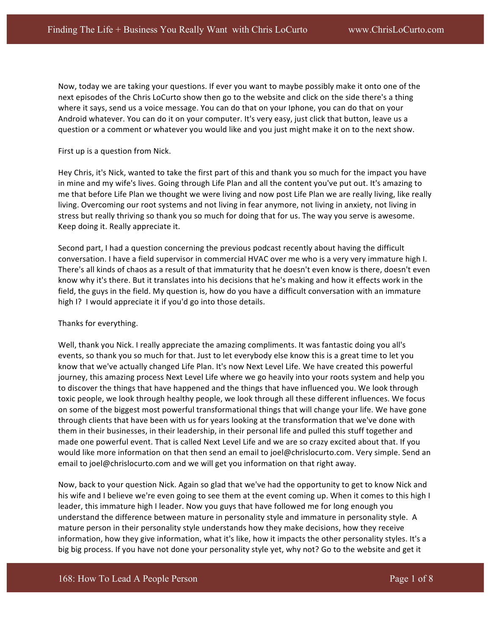Now, today we are taking your questions. If ever you want to maybe possibly make it onto one of the next episodes of the Chris LoCurto show then go to the website and click on the side there's a thing where it says, send us a voice message. You can do that on your Iphone, you can do that on your Android whatever. You can do it on your computer. It's very easy, just click that button, leave us a question or a comment or whatever you would like and you just might make it on to the next show.

First up is a question from Nick.

Hey Chris, it's Nick, wanted to take the first part of this and thank you so much for the impact you have in mine and my wife's lives. Going through Life Plan and all the content you've put out. It's amazing to me that before Life Plan we thought we were living and now post Life Plan we are really living, like really living. Overcoming our root systems and not living in fear anymore, not living in anxiety, not living in stress but really thriving so thank you so much for doing that for us. The way you serve is awesome. Keep doing it. Really appreciate it.

Second part, I had a question concerning the previous podcast recently about having the difficult conversation. I have a field supervisor in commercial HVAC over me who is a very very immature high I. There's all kinds of chaos as a result of that immaturity that he doesn't even know is there, doesn't even know why it's there. But it translates into his decisions that he's making and how it effects work in the field, the guys in the field. My question is, how do you have a difficult conversation with an immature high I? I would appreciate it if you'd go into those details.

## Thanks for everything.

Well, thank you Nick. I really appreciate the amazing compliments. It was fantastic doing you all's events, so thank you so much for that. Just to let everybody else know this is a great time to let you know that we've actually changed Life Plan. It's now Next Level Life. We have created this powerful journey, this amazing process Next Level Life where we go heavily into your roots system and help you to discover the things that have happened and the things that have influenced you. We look through toxic people, we look through healthy people, we look through all these different influences. We focus on some of the biggest most powerful transformational things that will change your life. We have gone through clients that have been with us for years looking at the transformation that we've done with them in their businesses, in their leadership, in their personal life and pulled this stuff together and made one powerful event. That is called Next Level Life and we are so crazy excited about that. If you would like more information on that then send an email to joel@chrislocurto.com. Very simple. Send an email to joel@chrislocurto.com and we will get you information on that right away.

Now, back to your question Nick. Again so glad that we've had the opportunity to get to know Nick and his wife and I believe we're even going to see them at the event coming up. When it comes to this high I leader, this immature high I leader. Now you guys that have followed me for long enough you understand the difference between mature in personality style and immature in personality style. A mature person in their personality style understands how they make decisions, how they receive information, how they give information, what it's like, how it impacts the other personality styles. It's a big big process. If you have not done your personality style yet, why not? Go to the website and get it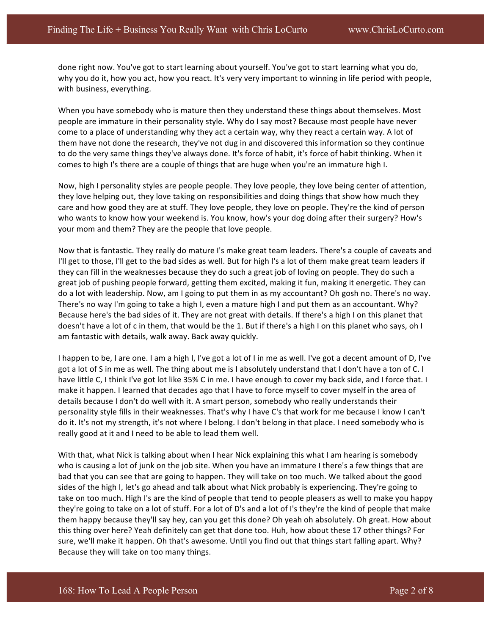done right now. You've got to start learning about yourself. You've got to start learning what you do, why you do it, how you act, how you react. It's very very important to winning in life period with people, with business, everything.

When you have somebody who is mature then they understand these things about themselves. Most people are immature in their personality style. Why do I say most? Because most people have never come to a place of understanding why they act a certain way, why they react a certain way. A lot of them have not done the research, they've not dug in and discovered this information so they continue to do the very same things they've always done. It's force of habit, it's force of habit thinking. When it comes to high I's there are a couple of things that are huge when you're an immature high I.

Now, high I personality styles are people people. They love people, they love being center of attention, they love helping out, they love taking on responsibilities and doing things that show how much they care and how good they are at stuff. They love people, they love on people. They're the kind of person who wants to know how your weekend is. You know, how's your dog doing after their surgery? How's your mom and them? They are the people that love people.

Now that is fantastic. They really do mature I's make great team leaders. There's a couple of caveats and I'll get to those, I'll get to the bad sides as well. But for high I's a lot of them make great team leaders if they can fill in the weaknesses because they do such a great job of loving on people. They do such a great job of pushing people forward, getting them excited, making it fun, making it energetic. They can do a lot with leadership. Now, am I going to put them in as my accountant? Oh gosh no. There's no way. There's no way I'm going to take a high I, even a mature high I and put them as an accountant. Why? Because here's the bad sides of it. They are not great with details. If there's a high I on this planet that doesn't have a lot of c in them, that would be the 1. But if there's a high I on this planet who says, oh I am fantastic with details, walk away. Back away quickly.

I happen to be, I are one. I am a high I, I've got a lot of I in me as well. I've got a decent amount of D, I've got a lot of S in me as well. The thing about me is I absolutely understand that I don't have a ton of C. I have little C, I think I've got lot like 35% C in me. I have enough to cover my back side, and I force that. I make it happen. I learned that decades ago that I have to force myself to cover myself in the area of details because I don't do well with it. A smart person, somebody who really understands their personality style fills in their weaknesses. That's why I have C's that work for me because I know I can't do it. It's not my strength, it's not where I belong. I don't belong in that place. I need somebody who is really good at it and I need to be able to lead them well.

With that, what Nick is talking about when I hear Nick explaining this what I am hearing is somebody who is causing a lot of junk on the job site. When you have an immature I there's a few things that are bad that you can see that are going to happen. They will take on too much. We talked about the good sides of the high I, let's go ahead and talk about what Nick probably is experiencing. They're going to take on too much. High I's are the kind of people that tend to people pleasers as well to make you happy they're going to take on a lot of stuff. For a lot of D's and a lot of I's they're the kind of people that make them happy because they'll say hey, can you get this done? Oh yeah oh absolutely. Oh great. How about this thing over here? Yeah definitely can get that done too. Huh, how about these 17 other things? For sure, we'll make it happen. Oh that's awesome. Until you find out that things start falling apart. Why? Because they will take on too many things.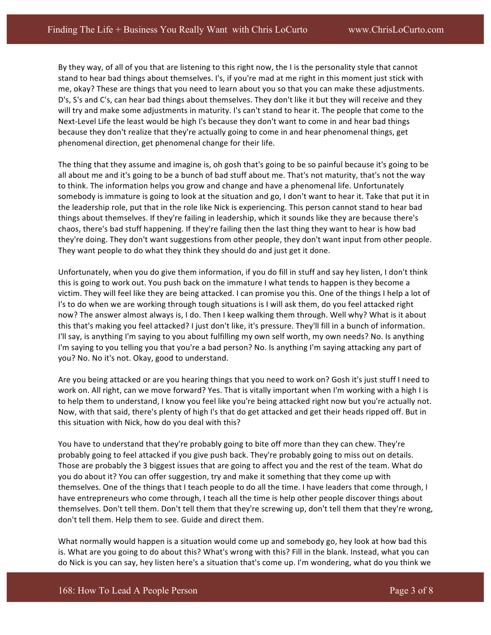By they way, of all of you that are listening to this right now, the I is the personality style that cannot stand to hear bad things about themselves. I's, if you're mad at me right in this moment just stick with me, okay? These are things that you need to learn about you so that you can make these adjustments. D's, S's and C's, can hear bad things about themselves. They don't like it but they will receive and they will try and make some adjustments in maturity. I's can't stand to hear it. The people that come to the Next-Level Life the least would be high I's because they don't want to come in and hear bad things because they don't realize that they're actually going to come in and hear phenomenal things, get phenomenal direction, get phenomenal change for their life.

The thing that they assume and imagine is, oh gosh that's going to be so painful because it's going to be all about me and it's going to be a bunch of bad stuff about me. That's not maturity, that's not the way to think. The information helps you grow and change and have a phenomenal life. Unfortunately somebody is immature is going to look at the situation and go, I don't want to hear it. Take that put it in the leadership role, put that in the role like Nick is experiencing. This person cannot stand to hear bad things about themselves. If they're failing in leadership, which it sounds like they are because there's chaos, there's bad stuff happening. If they're failing then the last thing they want to hear is how bad they're doing. They don't want suggestions from other people, they don't want input from other people. They want people to do what they think they should do and just get it done.

Unfortunately, when you do give them information, if you do fill in stuff and say hey listen, I don't think this is going to work out. You push back on the immature I what tends to happen is they become a victim. They will feel like they are being attacked. I can promise you this. One of the things I help a lot of I's to do when we are working through tough situations is I will ask them, do you feel attacked right now? The answer almost always is, I do. Then I keep walking them through. Well why? What is it about this that's making you feel attacked? I just don't like, it's pressure. They'll fill in a bunch of information. I'll say, is anything I'm saying to you about fulfilling my own self worth, my own needs? No. Is anything I'm saying to you telling you that you're a bad person? No. Is anything I'm saying attacking any part of you? No. No it's not. Okay, good to understand.

Are you being attacked or are you hearing things that you need to work on? Gosh it's just stuff I need to work on. All right, can we move forward? Yes. That is vitally important when I'm working with a high I is to help them to understand, I know you feel like you're being attacked right now but you're actually not. Now, with that said, there's plenty of high I's that do get attacked and get their heads ripped off. But in this situation with Nick, how do you deal with this?

You have to understand that they're probably going to bite off more than they can chew. They're probably going to feel attacked if you give push back. They're probably going to miss out on details. Those are probably the 3 biggest issues that are going to affect you and the rest of the team. What do you do about it? You can offer suggestion, try and make it something that they come up with themselves. One of the things that I teach people to do all the time. I have leaders that come through, I have entrepreneurs who come through, I teach all the time is help other people discover things about themselves. Don't tell them. Don't tell them that they're screwing up, don't tell them that they're wrong, don't tell them. Help them to see. Guide and direct them.

What normally would happen is a situation would come up and somebody go, hey look at how bad this is. What are you going to do about this? What's wrong with this? Fill in the blank. Instead, what you can do Nick is you can say, hey listen here's a situation that's come up. I'm wondering, what do you think we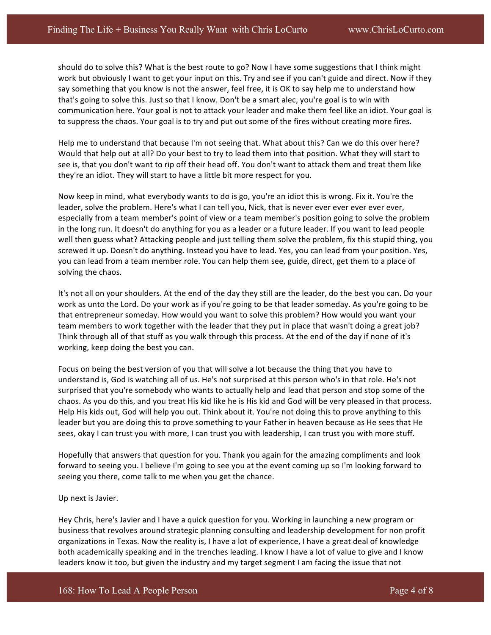should do to solve this? What is the best route to go? Now I have some suggestions that I think might work but obviously I want to get your input on this. Try and see if you can't guide and direct. Now if they say something that you know is not the answer, feel free, it is OK to say help me to understand how that's going to solve this. Just so that I know. Don't be a smart alec, you're goal is to win with communication here. Your goal is not to attack your leader and make them feel like an idiot. Your goal is to suppress the chaos. Your goal is to try and put out some of the fires without creating more fires.

Help me to understand that because I'm not seeing that. What about this? Can we do this over here? Would that help out at all? Do your best to try to lead them into that position. What they will start to see is, that you don't want to rip off their head off. You don't want to attack them and treat them like they're an idiot. They will start to have a little bit more respect for you.

Now keep in mind, what everybody wants to do is go, you're an idiot this is wrong. Fix it. You're the leader, solve the problem. Here's what I can tell you, Nick, that is never ever ever ever ever ever, especially from a team member's point of view or a team member's position going to solve the problem in the long run. It doesn't do anything for you as a leader or a future leader. If you want to lead people well then guess what? Attacking people and just telling them solve the problem, fix this stupid thing, you screwed it up. Doesn't do anything. Instead you have to lead. Yes, you can lead from your position. Yes, you can lead from a team member role. You can help them see, guide, direct, get them to a place of solving the chaos.

It's not all on your shoulders. At the end of the day they still are the leader, do the best you can. Do your work as unto the Lord. Do your work as if you're going to be that leader someday. As you're going to be that entrepreneur someday. How would you want to solve this problem? How would you want your team members to work together with the leader that they put in place that wasn't doing a great job? Think through all of that stuff as you walk through this process. At the end of the day if none of it's working, keep doing the best you can.

Focus on being the best version of you that will solve a lot because the thing that you have to understand is, God is watching all of us. He's not surprised at this person who's in that role. He's not surprised that you're somebody who wants to actually help and lead that person and stop some of the chaos. As you do this, and you treat His kid like he is His kid and God will be very pleased in that process. Help His kids out, God will help you out. Think about it. You're not doing this to prove anything to this leader but you are doing this to prove something to your Father in heaven because as He sees that He sees, okay I can trust you with more, I can trust you with leadership, I can trust you with more stuff.

Hopefully that answers that question for you. Thank you again for the amazing compliments and look forward to seeing you. I believe I'm going to see you at the event coming up so I'm looking forward to seeing you there, come talk to me when you get the chance.

## Up next is Javier.

Hey Chris, here's Javier and I have a quick question for you. Working in launching a new program or business that revolves around strategic planning consulting and leadership development for non profit organizations in Texas. Now the reality is, I have a lot of experience, I have a great deal of knowledge both academically speaking and in the trenches leading. I know I have a lot of value to give and I know leaders know it too, but given the industry and my target segment I am facing the issue that not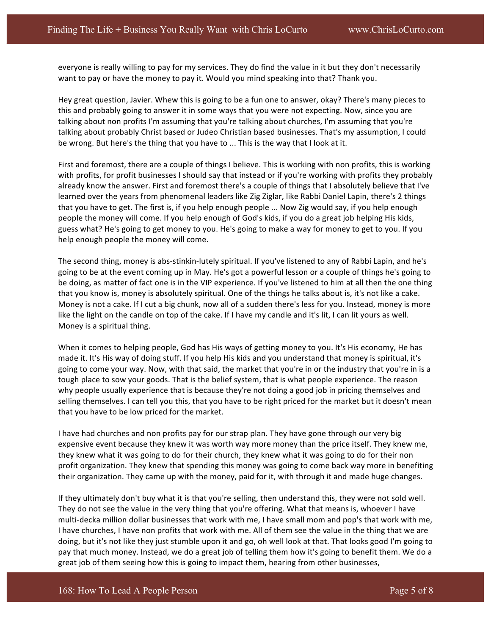everyone is really willing to pay for my services. They do find the value in it but they don't necessarily want to pay or have the money to pay it. Would you mind speaking into that? Thank you.

Hey great question, Javier. Whew this is going to be a fun one to answer, okay? There's many pieces to this and probably going to answer it in some ways that you were not expecting. Now, since you are talking about non profits I'm assuming that you're talking about churches, I'm assuming that you're talking about probably Christ based or Judeo Christian based businesses. That's my assumption, I could be wrong. But here's the thing that you have to ... This is the way that I look at it.

First and foremost, there are a couple of things I believe. This is working with non profits, this is working with profits, for profit businesses I should say that instead or if you're working with profits they probably already know the answer. First and foremost there's a couple of things that I absolutely believe that I've learned over the years from phenomenal leaders like Zig Ziglar, like Rabbi Daniel Lapin, there's 2 things that you have to get. The first is, if you help enough people ... Now Zig would say, if you help enough people the money will come. If you help enough of God's kids, if you do a great job helping His kids, guess what? He's going to get money to you. He's going to make a way for money to get to you. If you help enough people the money will come.

The second thing, money is abs-stinkin-lutely spiritual. If you've listened to any of Rabbi Lapin, and he's going to be at the event coming up in May. He's got a powerful lesson or a couple of things he's going to be doing, as matter of fact one is in the VIP experience. If you've listened to him at all then the one thing that you know is, money is absolutely spiritual. One of the things he talks about is, it's not like a cake. Money is not a cake. If I cut a big chunk, now all of a sudden there's less for you. Instead, money is more like the light on the candle on top of the cake. If I have my candle and it's lit, I can lit yours as well. Money is a spiritual thing.

When it comes to helping people, God has His ways of getting money to you. It's His economy, He has made it. It's His way of doing stuff. If you help His kids and you understand that money is spiritual, it's going to come your way. Now, with that said, the market that you're in or the industry that you're in is a tough place to sow your goods. That is the belief system, that is what people experience. The reason why people usually experience that is because they're not doing a good job in pricing themselves and selling themselves. I can tell you this, that you have to be right priced for the market but it doesn't mean that you have to be low priced for the market.

I have had churches and non profits pay for our strap plan. They have gone through our very big expensive event because they knew it was worth way more money than the price itself. They knew me, they knew what it was going to do for their church, they knew what it was going to do for their non profit organization. They knew that spending this money was going to come back way more in benefiting their organization. They came up with the money, paid for it, with through it and made huge changes.

If they ultimately don't buy what it is that you're selling, then understand this, they were not sold well. They do not see the value in the very thing that you're offering. What that means is, whoever I have multi-decka million dollar businesses that work with me, I have small mom and pop's that work with me, I have churches, I have non profits that work with me. All of them see the value in the thing that we are doing, but it's not like they just stumble upon it and go, oh well look at that. That looks good I'm going to pay that much money. Instead, we do a great job of telling them how it's going to benefit them. We do a great job of them seeing how this is going to impact them, hearing from other businesses,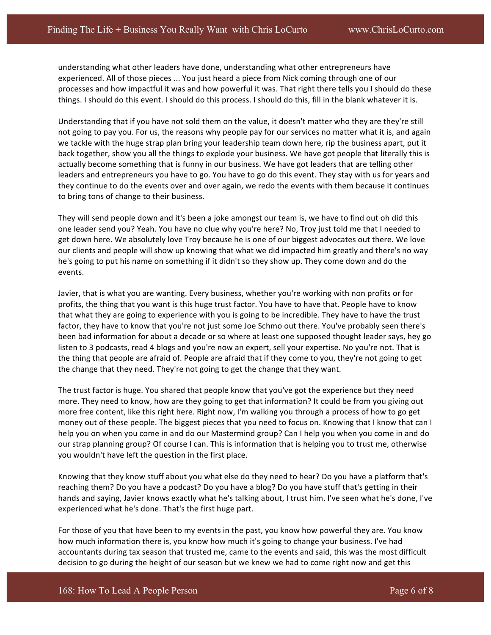understanding what other leaders have done, understanding what other entrepreneurs have experienced. All of those pieces ... You just heard a piece from Nick coming through one of our processes and how impactful it was and how powerful it was. That right there tells you I should do these things. I should do this event. I should do this process. I should do this, fill in the blank whatever it is.

Understanding that if you have not sold them on the value, it doesn't matter who they are they're still not going to pay you. For us, the reasons why people pay for our services no matter what it is, and again we tackle with the huge strap plan bring your leadership team down here, rip the business apart, put it back together, show you all the things to explode your business. We have got people that literally this is actually become something that is funny in our business. We have got leaders that are telling other leaders and entrepreneurs you have to go. You have to go do this event. They stay with us for years and they continue to do the events over and over again, we redo the events with them because it continues to bring tons of change to their business.

They will send people down and it's been a joke amongst our team is, we have to find out oh did this one leader send you? Yeah. You have no clue why you're here? No, Troy just told me that I needed to get down here. We absolutely love Troy because he is one of our biggest advocates out there. We love our clients and people will show up knowing that what we did impacted him greatly and there's no way he's going to put his name on something if it didn't so they show up. They come down and do the events.

Javier, that is what you are wanting. Every business, whether you're working with non profits or for profits, the thing that you want is this huge trust factor. You have to have that. People have to know that what they are going to experience with you is going to be incredible. They have to have the trust factor, they have to know that you're not just some Joe Schmo out there. You've probably seen there's been bad information for about a decade or so where at least one supposed thought leader says, hey go listen to 3 podcasts, read 4 blogs and you're now an expert, sell your expertise. No you're not. That is the thing that people are afraid of. People are afraid that if they come to you, they're not going to get the change that they need. They're not going to get the change that they want.

The trust factor is huge. You shared that people know that you've got the experience but they need more. They need to know, how are they going to get that information? It could be from you giving out more free content, like this right here. Right now, I'm walking you through a process of how to go get money out of these people. The biggest pieces that you need to focus on. Knowing that I know that can I help you on when you come in and do our Mastermind group? Can I help you when you come in and do our strap planning group? Of course I can. This is information that is helping you to trust me, otherwise you wouldn't have left the question in the first place.

Knowing that they know stuff about you what else do they need to hear? Do you have a platform that's reaching them? Do you have a podcast? Do you have a blog? Do you have stuff that's getting in their hands and saying, Javier knows exactly what he's talking about, I trust him. I've seen what he's done, I've experienced what he's done. That's the first huge part.

For those of you that have been to my events in the past, you know how powerful they are. You know how much information there is, you know how much it's going to change your business. I've had accountants during tax season that trusted me, came to the events and said, this was the most difficult decision to go during the height of our season but we knew we had to come right now and get this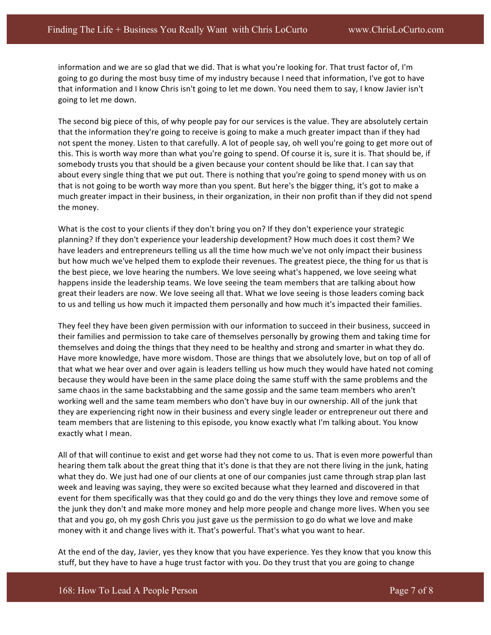information and we are so glad that we did. That is what you're looking for. That trust factor of, I'm going to go during the most busy time of my industry because I need that information, I've got to have that information and I know Chris isn't going to let me down. You need them to say, I know Javier isn't going to let me down.

The second big piece of this, of why people pay for our services is the value. They are absolutely certain that the information they're going to receive is going to make a much greater impact than if they had not spent the money. Listen to that carefully. A lot of people say, oh well you're going to get more out of this. This is worth way more than what you're going to spend. Of course it is, sure it is. That should be, if somebody trusts you that should be a given because your content should be like that. I can say that about every single thing that we put out. There is nothing that you're going to spend money with us on that is not going to be worth way more than you spent. But here's the bigger thing, it's got to make a much greater impact in their business, in their organization, in their non profit than if they did not spend the money.

What is the cost to your clients if they don't bring you on? If they don't experience your strategic planning? If they don't experience your leadership development? How much does it cost them? We have leaders and entrepreneurs telling us all the time how much we've not only impact their business but how much we've helped them to explode their revenues. The greatest piece, the thing for us that is the best piece, we love hearing the numbers. We love seeing what's happened, we love seeing what happens inside the leadership teams. We love seeing the team members that are talking about how great their leaders are now. We love seeing all that. What we love seeing is those leaders coming back to us and telling us how much it impacted them personally and how much it's impacted their families.

They feel they have been given permission with our information to succeed in their business, succeed in their families and permission to take care of themselves personally by growing them and taking time for themselves and doing the things that they need to be healthy and strong and smarter in what they do. Have more knowledge, have more wisdom. Those are things that we absolutely love, but on top of all of that what we hear over and over again is leaders telling us how much they would have hated not coming because they would have been in the same place doing the same stuff with the same problems and the same chaos in the same backstabbing and the same gossip and the same team members who aren't working well and the same team members who don't have buy in our ownership. All of the junk that they are experiencing right now in their business and every single leader or entrepreneur out there and team members that are listening to this episode, you know exactly what I'm talking about. You know exactly what I mean.

All of that will continue to exist and get worse had they not come to us. That is even more powerful than hearing them talk about the great thing that it's done is that they are not there living in the junk, hating what they do. We just had one of our clients at one of our companies just came through strap plan last week and leaving was saying, they were so excited because what they learned and discovered in that event for them specifically was that they could go and do the very things they love and remove some of the junk they don't and make more money and help more people and change more lives. When you see that and you go, oh my gosh Chris you just gave us the permission to go do what we love and make money with it and change lives with it. That's powerful. That's what you want to hear.

At the end of the day, Javier, yes they know that you have experience. Yes they know that you know this stuff, but they have to have a huge trust factor with you. Do they trust that you are going to change